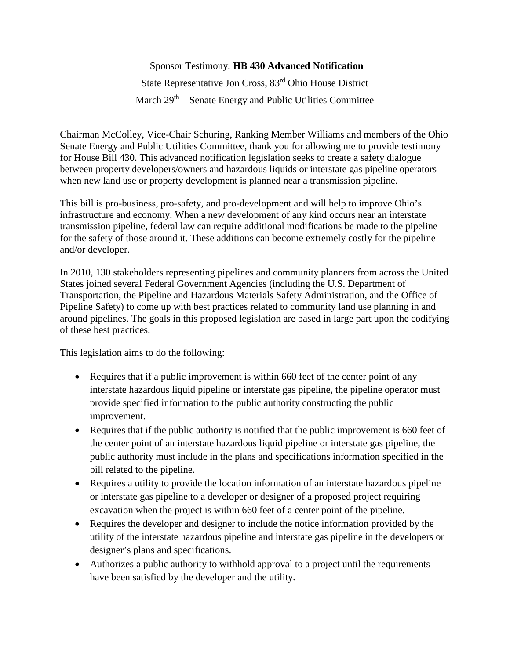Sponsor Testimony: **HB 430 Advanced Notification** State Representative Jon Cross, 83rd Ohio House District March  $29<sup>th</sup>$  – Senate Energy and Public Utilities Committee

Chairman McColley, Vice-Chair Schuring, Ranking Member Williams and members of the Ohio Senate Energy and Public Utilities Committee, thank you for allowing me to provide testimony for House Bill 430. This advanced notification legislation seeks to create a safety dialogue between property developers/owners and hazardous liquids or interstate gas pipeline operators when new land use or property development is planned near a transmission pipeline.

This bill is pro-business, pro-safety, and pro-development and will help to improve Ohio's infrastructure and economy. When a new development of any kind occurs near an interstate transmission pipeline, federal law can require additional modifications be made to the pipeline for the safety of those around it. These additions can become extremely costly for the pipeline and/or developer.

In 2010, 130 stakeholders representing pipelines and community planners from across the United States joined several Federal Government Agencies (including the U.S. Department of Transportation, the Pipeline and Hazardous Materials Safety Administration, and the Office of Pipeline Safety) to come up with best practices related to community land use planning in and around pipelines. The goals in this proposed legislation are based in large part upon the codifying of these best practices.

This legislation aims to do the following:

- Requires that if a public improvement is within 660 feet of the center point of any interstate hazardous liquid pipeline or interstate gas pipeline, the pipeline operator must provide specified information to the public authority constructing the public improvement.
- Requires that if the public authority is notified that the public improvement is 660 feet of the center point of an interstate hazardous liquid pipeline or interstate gas pipeline, the public authority must include in the plans and specifications information specified in the bill related to the pipeline.
- Requires a utility to provide the location information of an interstate hazardous pipeline or interstate gas pipeline to a developer or designer of a proposed project requiring excavation when the project is within 660 feet of a center point of the pipeline.
- Requires the developer and designer to include the notice information provided by the utility of the interstate hazardous pipeline and interstate gas pipeline in the developers or designer's plans and specifications.
- Authorizes a public authority to withhold approval to a project until the requirements have been satisfied by the developer and the utility.